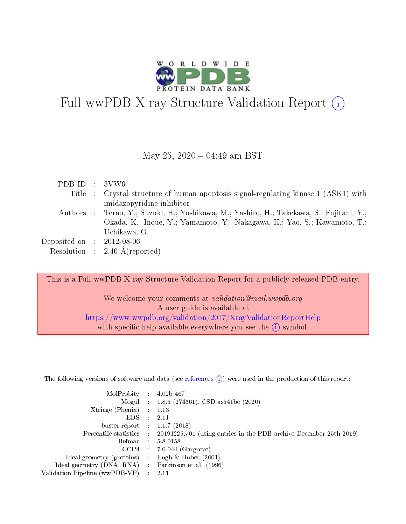

# Full wwPDB X-ray Structure Validation Report (i)

#### May 25,  $2020 - 04:49$  am BST

| PDB ID : $3VW6$             |                                                                                          |
|-----------------------------|------------------------------------------------------------------------------------------|
|                             | Title : Crystal structure of human apoptosis signal-regulating kinase 1 (ASK1) with      |
|                             | imidazopyridine inhibitor                                                                |
|                             | Authors : Terao, Y.; Suzuki, H.; Yoshikawa, M.; Yashiro, H.; Takekawa, S.; Fujitani, Y.; |
|                             | Okada, K.; Inoue, Y.; Yamamoto, Y.; Nakagawa, H.; Yao, S.; Kawamoto, T.;                 |
|                             | Uchikawa, O.                                                                             |
| Deposited on : $2012-08-06$ |                                                                                          |
|                             | Resolution : $2.40 \text{ Å}$ (reported)                                                 |
|                             |                                                                                          |

This is a Full wwPDB X-ray Structure Validation Report for a publicly released PDB entry.

We welcome your comments at *validation@mail.wwpdb.org* A user guide is available at <https://www.wwpdb.org/validation/2017/XrayValidationReportHelp> with specific help available everywhere you see the  $(i)$  symbol.

The following versions of software and data (see [references](https://www.wwpdb.org/validation/2017/XrayValidationReportHelp#references)  $(1)$ ) were used in the production of this report:

| MolProbity :                   |               | $4.02b - 467$                                                                |
|--------------------------------|---------------|------------------------------------------------------------------------------|
|                                |               | Mogul : 1.8.5 (274361), CSD as 541be (2020)                                  |
| Xtriage (Phenix)               | $\mathcal{L}$ | 1.13                                                                         |
| EDS.                           |               | 2.11                                                                         |
| buster-report : $1.1.7$ (2018) |               |                                                                              |
| Percentile statistics :        |               | $20191225 \text{ v}01$ (using entries in the PDB archive December 25th 2019) |
| Refmac :                       |               | 5.8.0158                                                                     |
| CCP4                           |               | $7.0.044$ (Gargrove)                                                         |
| Ideal geometry (proteins) :    |               | Engh & Huber $(2001)$                                                        |
| Ideal geometry (DNA, RNA) :    |               | Parkinson et al. (1996)                                                      |
| Validation Pipeline (wwPDB-VP) | ÷             | 2.11                                                                         |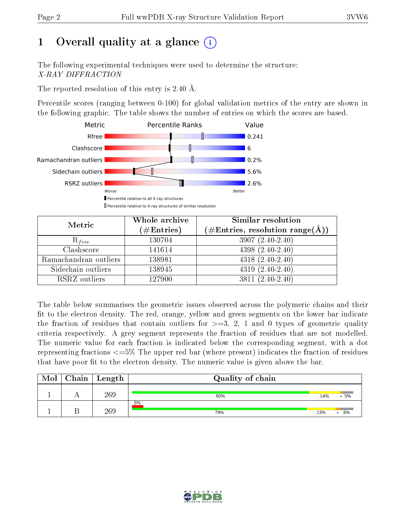## 1 [O](https://www.wwpdb.org/validation/2017/XrayValidationReportHelp#overall_quality)verall quality at a glance  $(i)$

The following experimental techniques were used to determine the structure: X-RAY DIFFRACTION

The reported resolution of this entry is 2.40 Å.

Percentile scores (ranging between 0-100) for global validation metrics of the entry are shown in the following graphic. The table shows the number of entries on which the scores are based.



| Metric                | Whole archive<br>$(\#\mathrm{Entries})$ | Similar resolution<br>$(\#\text{Entries},\, \text{resolution}\; \text{range}(\textup{\AA}))$ |
|-----------------------|-----------------------------------------|----------------------------------------------------------------------------------------------|
| $R_{free}$            | 130704                                  | $3907(2.40-2.40)$                                                                            |
| Clashscore            | 141614                                  | $4398(2.40-2.40)$                                                                            |
| Ramachandran outliers | 138981                                  | $4318(2.40-2.40)$                                                                            |
| Sidechain outliers    | 138945                                  | $4319(2.40-2.40)$                                                                            |
| RSRZ outliers         | 127900                                  | $3811(2.40-2.40)$                                                                            |

The table below summarises the geometric issues observed across the polymeric chains and their fit to the electron density. The red, orange, yellow and green segments on the lower bar indicate the fraction of residues that contain outliers for  $>=3, 2, 1$  and 0 types of geometric quality criteria respectively. A grey segment represents the fraction of residues that are not modelled. The numeric value for each fraction is indicated below the corresponding segment, with a dot representing fractions  $\epsilon=5\%$  The upper red bar (where present) indicates the fraction of residues that have poor fit to the electron density. The numeric value is given above the bar.

| Mol | ${\rm Chain \mid Length}$ | Quality of chain |     |     |
|-----|---------------------------|------------------|-----|-----|
|     | 269                       | 80%              | 14% | .5% |
|     | 269                       | 5%<br>79%        | 13% | 6%  |

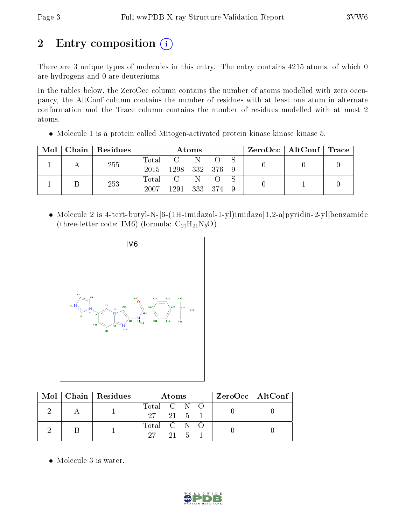# 2 Entry composition (i)

There are 3 unique types of molecules in this entry. The entry contains 4215 atoms, of which 0 are hydrogens and 0 are deuteriums.

In the tables below, the ZeroOcc column contains the number of atoms modelled with zero occupancy, the AltConf column contains the number of residues with at least one atom in alternate conformation and the Trace column contains the number of residues modelled with at most 2 atoms.

• Molecule 1 is a protein called Mitogen-activated protein kinase kinase kinase 5.

| Mol | Chain   Residues | Atoms |                                                          |  |  | $\text{ZeroOcc} \mid \text{AltConf} \mid \text{Trace}$ |  |  |
|-----|------------------|-------|----------------------------------------------------------|--|--|--------------------------------------------------------|--|--|
|     | 255              |       | $\begin{array}{ccc} \text{Total} & \text{C} \end{array}$ |  |  |                                                        |  |  |
|     |                  | 2015  | 1298 332 376 9                                           |  |  |                                                        |  |  |
|     | 253              |       | Total C N O S                                            |  |  |                                                        |  |  |
|     |                  | 2007  | 1291 333 374 9                                           |  |  |                                                        |  |  |

 Molecule 2 is 4-tert-butyl-N-[6-(1H-imidazol-1-yl)imidazo[1,2-a]pyridin-2-yl]benzamide (three-letter code: IM6) (formula:  $C_{21}H_{21}N_5O$ ).



|  | $\text{Mol}$   Chain   Residues | Atoms                               | $ZeroOcc \   \ AltConf$ |
|--|---------------------------------|-------------------------------------|-------------------------|
|  |                                 | Total C N O<br>$27 \t21 \t5 \t1$    |                         |
|  |                                 | Total C N O<br>$27 \t 21 \t 5 \t 1$ |                         |

• Molecule 3 is water.

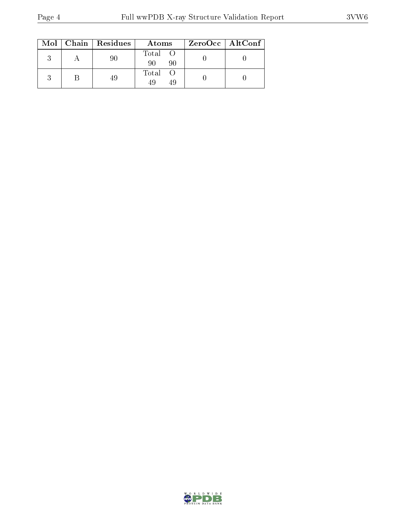|  | $Mol$   Chain   Residues | Atoms                | $ZeroOcc \   \ AltConf \  $ |
|--|--------------------------|----------------------|-----------------------------|
|  |                          | Total O<br>90<br>90  |                             |
|  |                          | Total O<br>49<br>-49 |                             |

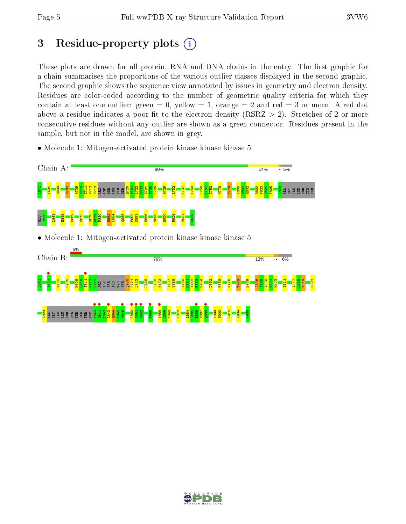## 3 Residue-property plots  $(i)$

These plots are drawn for all protein, RNA and DNA chains in the entry. The first graphic for a chain summarises the proportions of the various outlier classes displayed in the second graphic. The second graphic shows the sequence view annotated by issues in geometry and electron density. Residues are color-coded according to the number of geometric quality criteria for which they contain at least one outlier: green  $= 0$ , yellow  $= 1$ , orange  $= 2$  and red  $= 3$  or more. A red dot above a residue indicates a poor fit to the electron density (RSRZ  $> 2$ ). Stretches of 2 or more consecutive residues without any outlier are shown as a green connector. Residues present in the sample, but not in the model, are shown in grey.

• Molecule 1: Mitogen-activated protein kinase kinase kinase 5



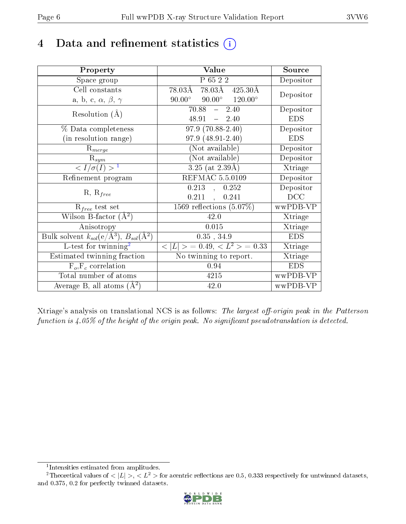## 4 Data and refinement statistics  $(i)$

| Property                                                         | Value                                            | Source     |
|------------------------------------------------------------------|--------------------------------------------------|------------|
| Space group                                                      | P 65 2 2                                         | Depositor  |
| Cell constants                                                   | 78.03Å 78.03Å 425.30Å                            | Depositor  |
| a, b, c, $\alpha$ , $\beta$ , $\gamma$                           | $90.00^{\circ}$ $90.00^{\circ}$ $120.00^{\circ}$ |            |
| Resolution $(A)$                                                 | 70.88<br>$-2.40$                                 | Depositor  |
|                                                                  | $48.91 - 2.40$                                   | <b>EDS</b> |
| % Data completeness                                              | $\overline{97.9(70.88-2.40)}$                    | Depositor  |
| (in resolution range)                                            | 97.9 (48.91-2.40)                                | <b>EDS</b> |
| $\mathrm{R}_{merge}$                                             | (Not available)                                  | Depositor  |
| $\mathrm{R}_{sym}$                                               | (Not available)                                  | Depositor  |
| $\langle I/\sigma(I) \rangle^{-1}$                               | $3.25$ (at $2.39\text{\AA}$ )                    | Xtriage    |
| Refinement program                                               | REFMAC 5.5.0109                                  | Depositor  |
| $R, R_{free}$                                                    | $\overline{0.213}$ ,<br>0.252                    | Depositor  |
|                                                                  | 0.211<br>0.241                                   | DCC        |
| $R_{free}$ test set                                              | $\overline{1569}$ reflections $(5.07\%)$         | wwPDB-VP   |
| Wilson B-factor $(A^2)$                                          | 42.0                                             | Xtriage    |
| Anisotropy                                                       | 0.015                                            | Xtriage    |
| Bulk solvent $k_{sol}(\text{e}/\text{A}^3), B_{sol}(\text{A}^2)$ | $0.35$ , $34.9$                                  | <b>EDS</b> |
| L-test for twinning <sup>2</sup>                                 | $< L >$ = 0.49, $< L2$ = 0.33                    | Xtriage    |
| Estimated twinning fraction                                      | No twinning to report.                           | Xtriage    |
| $F_o, F_c$ correlation                                           | 0.94                                             | <b>EDS</b> |
| Total number of atoms                                            | 4215                                             | wwPDB-VP   |
| Average B, all atoms $(A^2)$                                     | 42.0                                             | wwPDB-VP   |

Xtriage's analysis on translational NCS is as follows: The largest off-origin peak in the Patterson function is  $4.05\%$  of the height of the origin peak. No significant pseudotranslation is detected.

<sup>&</sup>lt;sup>2</sup>Theoretical values of  $\langle |L| \rangle$ ,  $\langle L^2 \rangle$  for acentric reflections are 0.5, 0.333 respectively for untwinned datasets, and 0.375, 0.2 for perfectly twinned datasets.



<span id="page-5-1"></span><span id="page-5-0"></span><sup>1</sup> Intensities estimated from amplitudes.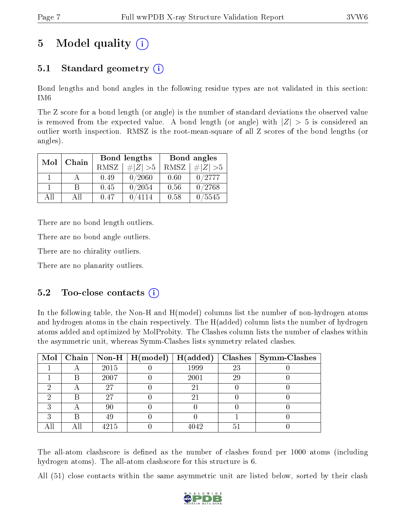## 5 Model quality  $(i)$

## 5.1 Standard geometry (i)

Bond lengths and bond angles in the following residue types are not validated in this section: IM6

The Z score for a bond length (or angle) is the number of standard deviations the observed value is removed from the expected value. A bond length (or angle) with  $|Z| > 5$  is considered an outlier worth inspection. RMSZ is the root-mean-square of all Z scores of the bond lengths (or angles).

| Mol | Chain |      | Bond lengths | Bond angles |                 |  |
|-----|-------|------|--------------|-------------|-----------------|--|
|     |       | RMSZ | $\# Z  > 5$  | RMSZ        | $\# Z  > 5$     |  |
|     |       | 0.49 | 0/2060       | 0.60        | 0/2777          |  |
|     | R     | 0.45 | 0/2054       | 0.56        | 0/2768          |  |
| ΔH  | A 11  | 0.47 | 4114         | 0.58        | $^{\prime}5545$ |  |

There are no bond length outliers.

There are no bond angle outliers.

There are no chirality outliers.

There are no planarity outliers.

### $5.2$  Too-close contacts  $(i)$

In the following table, the Non-H and H(model) columns list the number of non-hydrogen atoms and hydrogen atoms in the chain respectively. The H(added) column lists the number of hydrogen atoms added and optimized by MolProbity. The Clashes column lists the number of clashes within the asymmetric unit, whereas Symm-Clashes lists symmetry related clashes.

|   |   |      | Mol   Chain   Non-H   H(model)   H(added) |      |    | $\text{Classes} \mid \text{Symm-Class}$ |
|---|---|------|-------------------------------------------|------|----|-----------------------------------------|
|   |   | 2015 |                                           | 1999 | 23 |                                         |
|   | В | 2007 |                                           | 2001 | 29 |                                         |
|   |   | 27   |                                           | 21   |    |                                         |
|   |   | 27   |                                           |      |    |                                         |
| ົ |   | 90   |                                           |      |    |                                         |
| ച | R | 49   |                                           |      |    |                                         |
|   |   | 4215 |                                           | 4042 | 51 |                                         |

The all-atom clashscore is defined as the number of clashes found per 1000 atoms (including hydrogen atoms). The all-atom clashscore for this structure is 6.

All (51) close contacts within the same asymmetric unit are listed below, sorted by their clash

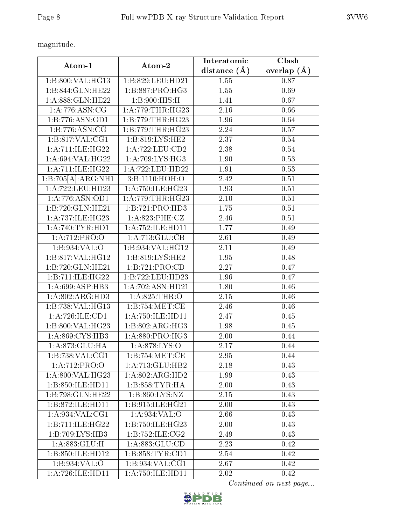magnitude.

| Atom-1                                              | Atom-2               | Interatomic       | Clash         |
|-----------------------------------------------------|----------------------|-------------------|---------------|
|                                                     |                      | distance $(\AA)$  | overlap $(A)$ |
| 1:B:800:VAL:HG13                                    | 1:B:829:LEU:HD21     | 1.55              | 0.87          |
| 1:B:844:GLN:HE22                                    | 1: B: 887: PRO:HG3   | 1.55              | 0.69          |
| 1:A:888:GLN:HE22                                    | 1:B:900:HIS:H        | 1.41              | 0.67          |
| 1: A:776: ASN:CG                                    | 1: A:779:THR:HG23    | 2.16              | 0.66          |
| 1:B:776:ASN:OD1                                     | 1:B:779:THR:HG23     | 1.96              | 0.64          |
| 1:B:776:ASN:CG                                      | 1:B:779:THR:HG23     | 2.24              | 0.57          |
| 1:B:817:VAL:CG1                                     | 1:B:819:LYS:HE2      | 2.37              | 0.54          |
| 1: A: 711: ILE: HG22                                | 1: A: 722: LEU: CD2  | 2.38              | 0.54          |
| 1: A:694:VAL:HG22                                   | 1: A:709: LYS: HG3   | 1.90              | 0.53          |
| 1: A: 711: ILE: HG22                                | 1: A:722: LEU: HD22  | 1.91              | 0.53          |
| $1:B:705[\overline{\mathrm{A}}]:\!\mathrm{ARG:NH1}$ | 3:B:1110:HOH:O       | 2.42              | 0.51          |
| 1:A:722:LEU:HD23                                    | 1: A:750: ILE:HG23   | 1.93              | 0.51          |
| 1:A:776:ASN:OD1                                     | 1: A:779:THR:HG23    | 2.10              | 0.51          |
| 1:B:720:GLN:HE21                                    | 1:B:721:PRO:HD3      | 1.75              | 0.51          |
| 1: A:737: ILE: HG23                                 | 1:A:823:PHE:CZ       | 2.46              | 0.51          |
| 1:A:740:TYR:HDI                                     | 1:A:752:ILE:HD11     | 1.77              | 0.49          |
| 1:A:712:PRO:O                                       | 1: A:713: GLU:CB     | 2.61              | 0.49          |
| 1:B:934:VAL:O                                       | 1:B:934:VAL:HG12     | $\overline{2.11}$ | 0.49          |
| 1:B:817:VAL:HG12                                    | 1:B:819:LYS:HE2      | 1.95              | 0.48          |
| 1:B:720:GLN:HE21                                    | 1:B:721:PRO:CD       | $\overline{2.27}$ | 0.47          |
| 1:B:711:ILE:HG22                                    | 1:B:722:LEU:HD23     | 1.96              | 0.47          |
| 1: A:699: ASP:HB3                                   | 1:A:702:ASN:HD21     | 1.80              | 0.46          |
| 1: A:802: ARG:HD3                                   | 1: A:825:THR:O       | 2.15              | 0.46          |
| 1:B:738:VAL:HG13                                    | 1:B:754:MET:CE       | 2.46              | 0.46          |
| 1:A:726:ILE:CD1                                     | 1: A: 750: ILE: HD11 | 2.47              | 0.45          |
| 1:B:800:VAL:HG23                                    | 1: B:802: ARG: HG3   | 1.98              | 0.45          |
| 1: A:869: CYS:HB3                                   | 1: A:880: PRO:HG3    | 2.00              | 0.44          |
| 1:A:873:GLU:HA                                      | 1:A:878:LYS:O        | 2.17              | 0.44          |
| 1:B:738:VAL:CG1                                     | 1: B: 754: MET: CE   | 2.95              | 0.44          |
| 1:A:712:PRO:O                                       | 1:A:713:GLU:HB2      | 2.18              | 0.43          |
| 1: A:800: VAL:HG23                                  | 1:A:802:ARG:HD2      | 1.99              | 0.43          |
| 1:B:850:ILE:HD11                                    | 1: B: 858: TYR: HA   | 2.00              | 0.43          |
| 1:B:798:GLN:HE22                                    | 1:B:860:LYS:NZ       | 2.15              | 0.43          |
| 1:B:872:ILE:HD11                                    | 1:B:915:ILE:HG21     | 2.00              | 0.43          |
| 1: A:934: VAL: CG1                                  | 1: A:934: VAL:O      | 2.66              | 0.43          |
| 1:B:711:ILE:HG22                                    | 1:B:750:ILE:HG23     | 2.00              | 0.43          |
| 1:B:709:LYS:HB3                                     | 1:B:752:ILE:CG2      | 2.49              | 0.43          |
| 1: A:883: GLU: H                                    | 1:A:883:GLU:CD       | 2.23              | 0.42          |
| 1:B:850:ILE:HD12                                    | 1:B:858:TYR:CD1      | 2.54              | 0.42          |
| 1:B:934:VAL:O                                       | 1: B:934: VAL:CG1    | 2.67              | 0.42          |
| 1: A:726: ILE: HD11                                 | 1:A:750:ILE:HD11     | 2.02              | 0.42          |

Continued on next page...

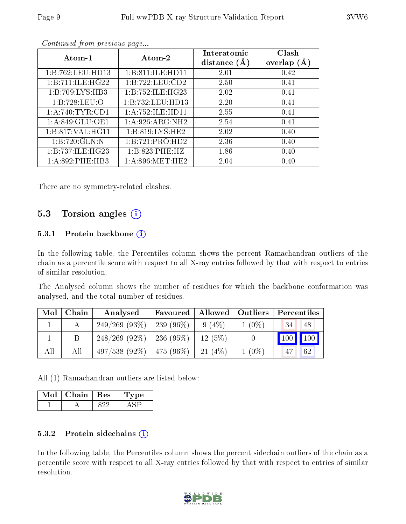|--|--|

| Atom-1             | Atom-2             | Interatomic<br>distance $(A)$ | Clash<br>overlap $(A)$ |
|--------------------|--------------------|-------------------------------|------------------------|
| 1:B:762:LEU:HD13   | 1:B:811:ILE:HD11   | 2.01                          | 0.42                   |
| 1:B:711:ILE:HG22   | 1:B:722:LEU:CD2    | 2.50                          | 0.41                   |
| 1:B:709:LYS:HB3    | 1:B:752:ILE:HG23   | 2.02                          | 0.41                   |
| 1:B:728:LEU:O      | 1:B:732:LEU:HD13   | 2.20                          | 0.41                   |
| 1: A:740:TYR:CD1   | 1:A:752:ILE:HD11   | 2.55                          | 0.41                   |
| 1: A:849: GLU:OE1  | 1: A:926: ARG: NH2 | 2.54                          | 0.41                   |
| 1: B:817: VAL:HGI1 | 1: B:819: LYS: HE2 | 2.02                          | 0.40                   |
| 1:B:720:GLN:N      | 1:B:721:PRO:HD2    | 2.36                          | 0.40                   |
| 1:B:737:ILE:HG23   | 1:B:823:PHE:HZ     | 1.86                          | 0.40                   |
| 1:A:892:PHE:HB3    | 1: A:896: MET:HE2  | 2.04                          | 0.40                   |

Continued from previous page...

There are no symmetry-related clashes.

#### 5.3 Torsion angles (i)

#### 5.3.1 Protein backbone  $(i)$

In the following table, the Percentiles column shows the percent Ramachandran outliers of the chain as a percentile score with respect to all X-ray entries followed by that with respect to entries of similar resolution.

The Analysed column shows the number of residues for which the backbone conformation was analysed, and the total number of residues.

| Mol | Chain | Analysed                      | Favoured |           | Allowed   Outliers | Percentiles                     |
|-----|-------|-------------------------------|----------|-----------|--------------------|---------------------------------|
|     |       | $249/269$ (93\%)   239 (96\%) |          | $9(4\%)$  | $1(0\%)$           | 434<br>48                       |
|     |       | $248/269$ (92\%)   236 (95\%) |          | $12(5\%)$ |                    | $\vert$ 100 $\vert$ 100 $\vert$ |
| All | All   | $497/538$ (92\%)   475 (96\%) |          | 21(4%)    | $1(0\%)$           | 62<br>-47                       |

All (1) Ramachandran outliers are listed below:

| Chain | $+$ Res $+$ | vne |
|-------|-------------|-----|
|       |             |     |

#### 5.3.2 Protein sidechains  $(i)$

In the following table, the Percentiles column shows the percent sidechain outliers of the chain as a percentile score with respect to all X-ray entries followed by that with respect to entries of similar resolution.

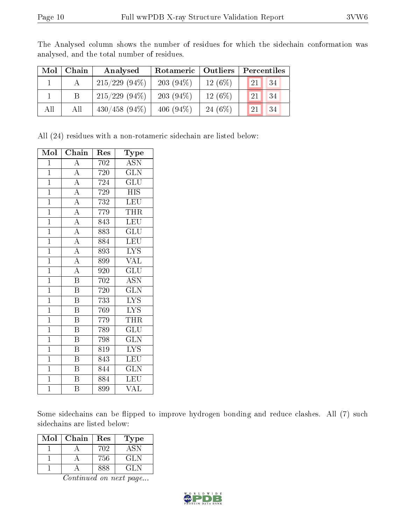| Mol | Chain | Analysed         | Rotameric   Outliers |           | Percentiles |
|-----|-------|------------------|----------------------|-----------|-------------|
|     |       | $215/229$ (94\%) | $203(94\%)$          | $12(6\%)$ | 21<br>34    |
|     |       | $215/229$ (94\%) | $203(94\%)$          | $12(6\%)$ | 34<br>21    |
| All | All   | $430/458$ (94\%) | 406 $(94\%)$         | 24 $(6%)$ | 34<br>21    |

The Analysed column shows the number of residues for which the sidechain conformation was analysed, and the total number of residues.

All (24) residues with a non-rotameric sidechain are listed below:

| Mol            | Chain                   | Res | Type                      |
|----------------|-------------------------|-----|---------------------------|
| $\mathbf 1$    | $\boldsymbol{A}$        | 702 | <b>ASN</b>                |
| $\overline{1}$ | $\overline{A}$          | 720 | $\overline{\text{GLN}}$   |
| $\overline{1}$ | $\overline{A}$          | 724 | GLU                       |
| $\overline{1}$ | $\overline{A}$          | 729 | $\overline{\mathrm{HIS}}$ |
| $\overline{1}$ | $\overline{A}$          | 732 | <b>LEU</b>                |
| $\overline{1}$ | $\overline{A}$          | 779 | $\overline{\text{THR}}$   |
| $\overline{1}$ | $\overline{A}$          | 843 | <b>LEU</b>                |
| $\overline{1}$ | $\overline{A}$          | 883 | GLU                       |
| $\overline{1}$ | $\overline{A}$          | 884 | LEU                       |
| $\overline{1}$ | $\overline{A}$          | 893 | <b>LYS</b>                |
| $\overline{1}$ | $\overline{A}$          | 899 | <b>VAL</b>                |
| $\overline{1}$ | $\overline{A}$          | 920 | $\overline{\text{GLU}}$   |
| $\overline{1}$ | $\overline{\mathrm{B}}$ | 702 | $\overline{A}$ SN         |
| $\overline{1}$ | $\overline{\mathrm{B}}$ | 720 | $\overline{\text{GLN}}$   |
| $\overline{1}$ | $\overline{\mathrm{B}}$ | 733 | <b>LYS</b>                |
| $\overline{1}$ | $\overline{\mathrm{B}}$ | 769 | $\overline{\text{LYS}}$   |
| $\overline{1}$ | $\overline{\mathrm{B}}$ | 779 | <b>THR</b>                |
| $\overline{1}$ | Β                       | 789 | $\overline{{\rm GLU}}$    |
| $\overline{1}$ | $\overline{\mathrm{B}}$ | 798 | $\overline{\text{GLN}}$   |
| $\overline{1}$ | $\, {\bf B}$            | 819 | $\overline{\text{LYS}}$   |
| $\overline{1}$ | $\overline{\mathrm{B}}$ | 843 | $\overline{\text{LEU}}$   |
| $\overline{1}$ | B                       | 844 | <b>GLN</b>                |
| $\overline{1}$ | $\overline{\mathrm{B}}$ | 884 | <b>LEU</b>                |
| $\overline{1}$ | $\overline{\mathrm{B}}$ | 899 | VAL                       |

Some sidechains can be flipped to improve hydrogen bonding and reduce clashes. All (7) such sidechains are listed below:

| Mol | Chain | Res | Type |
|-----|-------|-----|------|
|     |       | 702 | ASN. |
|     |       | 756 | GL N |
|     |       | 888 | GLN  |

Continued on next page...

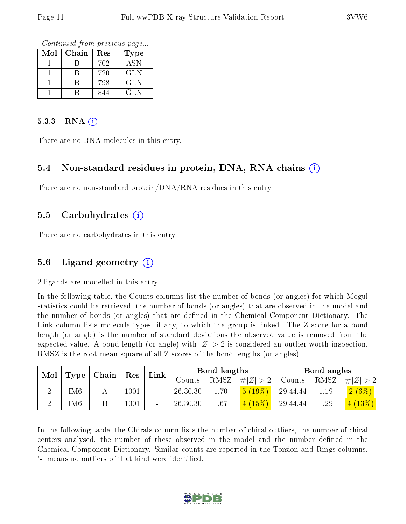Continued from previous page...

| Mol | Chain | Res | Type       |
|-----|-------|-----|------------|
|     |       | 702 | <b>ASN</b> |
|     |       | 720 | <b>GLN</b> |
|     |       | 798 | GLN        |
|     |       | 844 | GL N       |

#### 5.3.3 RNA  $(i)$

There are no RNA molecules in this entry.

#### 5.4 Non-standard residues in protein, DNA, RNA chains  $(i)$

There are no non-standard protein/DNA/RNA residues in this entry.

#### 5.5 Carbohydrates  $(i)$

There are no carbohydrates in this entry.

#### 5.6 Ligand geometry  $(i)$

2 ligands are modelled in this entry.

In the following table, the Counts columns list the number of bonds (or angles) for which Mogul statistics could be retrieved, the number of bonds (or angles) that are observed in the model and the number of bonds (or angles) that are defined in the Chemical Component Dictionary. The Link column lists molecule types, if any, to which the group is linked. The Z score for a bond length (or angle) is the number of standard deviations the observed value is removed from the expected value. A bond length (or angle) with  $|Z| > 2$  is considered an outlier worth inspection. RMSZ is the root-mean-square of all Z scores of the bond lengths (or angles).

| Mol<br>Type |      |  |      | Chain  | Res        | Link |           | Bond lengths |      |                     | Bond angles |  |
|-------------|------|--|------|--------|------------|------|-----------|--------------|------|---------------------|-------------|--|
|             |      |  |      |        | Counts     | RMSZ | $\pm  Z $ | Counts       | RMSZ | # Z                 |             |  |
|             | UM6  |  | 1001 | $\sim$ | 26,30,30   | 1.70 | 5(19%)    | 29,44,44     | 1.19 | $2(6\%)$            |             |  |
|             | UM6. |  | 1001 | -      | 26, 30, 30 | 1.67 |           | 29,44,44     | 1.29 | $\left[13\%\right]$ |             |  |

In the following table, the Chirals column lists the number of chiral outliers, the number of chiral centers analysed, the number of these observed in the model and the number defined in the Chemical Component Dictionary. Similar counts are reported in the Torsion and Rings columns. '-' means no outliers of that kind were identified.

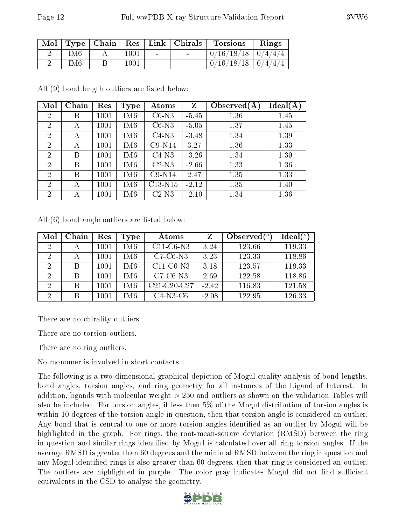|     |      |        | Mol   Type   Chain   Res   Link   Chirals | <b>Torsions</b>          | Rings |
|-----|------|--------|-------------------------------------------|--------------------------|-------|
| IM6 | 1001 | $\sim$ |                                           | $0/16/18/18$   $0/4/4/4$ |       |
| IM6 | 1001 |        |                                           | $0/16/18/18$   $0/4/4/4$ |       |

All (9) bond length outliers are listed below:

| Mol            | Chain | Res  | Type            | Atoms     | Z       | Observed $(A$ | $Ideal(\AA)$ |
|----------------|-------|------|-----------------|-----------|---------|---------------|--------------|
| $\overline{2}$ | Β     | 1001 | IM <sub>6</sub> | $C6-N3$   | $-5.45$ | 1.36          | 1.45         |
| $\overline{2}$ | А     | 1001 | IM <sub>6</sub> | $C6-N3$   | $-5.05$ | 1.37          | 1.45         |
| $\overline{2}$ | А     | 1001 | IM <sub>6</sub> | $C4-N3$   | $-3.48$ | 1.34          | 1.39         |
| 2              | А     | 1001 | IM <sub>6</sub> | $C9-N14$  | 3.27    | 1.36          | 1.33         |
| $\overline{2}$ | В     | 1001 | IM <sub>6</sub> | $C4-N3$   | $-3.26$ | 1.34          | 1.39         |
| $\overline{2}$ | B     | 1001 | IM <sub>6</sub> | $C2-N3$   | $-2.66$ | 1.33          | 1.36         |
| $\overline{2}$ | B     | 1001 | IM <sub>6</sub> | $C9-N14$  | 2.47    | 1.35          | 1.33         |
| $\overline{2}$ | А     | 1001 | IM <sub>6</sub> | $C13-N15$ | $-2.12$ | 1.35          | 1.40         |
| $\overline{2}$ | А     | 1001 | IM <sub>6</sub> | $C2-N3$   | $-2.10$ | 1.34          | 1.36         |

All (6) bond angle outliers are listed below:

| Mol            | Chain | Res      | Type | Atoms         | Z       | Observed $(°)$ | Ideal(°) |
|----------------|-------|----------|------|---------------|---------|----------------|----------|
| $\overline{2}$ | А     | 1001     | IM6  | $C11-C6-N3$   | 3.24    | 123.66         | 119.33   |
| $\overline{2}$ | А     | 1001     | IM6  | $C7-C6-N3$    | 3.23    | 123.33         | 118.86   |
| 2              | B     | $1001\,$ | IM6  | $C11-C6-N3$   | 3.18    | 123.57         | 119.33   |
| $\mathcal{D}$  | B     | 1001     | IM6  | $C7-C6-N3$    | 2.69    | 122.58         | 118.86   |
| $\overline{2}$ | B     | 1001     | IM6  | $C21-C20-C27$ | $-2.42$ | 116.83         | 121.58   |
| $\overline{2}$ | В     | $1001\,$ | IM6  | $C4-N3-C6$    | $-2.08$ | 122.95         | 126.33   |

There are no chirality outliers.

There are no torsion outliers.

There are no ring outliers.

No monomer is involved in short contacts.

The following is a two-dimensional graphical depiction of Mogul quality analysis of bond lengths, bond angles, torsion angles, and ring geometry for all instances of the Ligand of Interest. In addition, ligands with molecular weight > 250 and outliers as shown on the validation Tables will also be included. For torsion angles, if less then 5% of the Mogul distribution of torsion angles is within 10 degrees of the torsion angle in question, then that torsion angle is considered an outlier. Any bond that is central to one or more torsion angles identified as an outlier by Mogul will be highlighted in the graph. For rings, the root-mean-square deviation (RMSD) between the ring in question and similar rings identified by Mogul is calculated over all ring torsion angles. If the average RMSD is greater than 60 degrees and the minimal RMSD between the ring in question and any Mogul-identified rings is also greater than 60 degrees, then that ring is considered an outlier. The outliers are highlighted in purple. The color gray indicates Mogul did not find sufficient equivalents in the CSD to analyse the geometry.

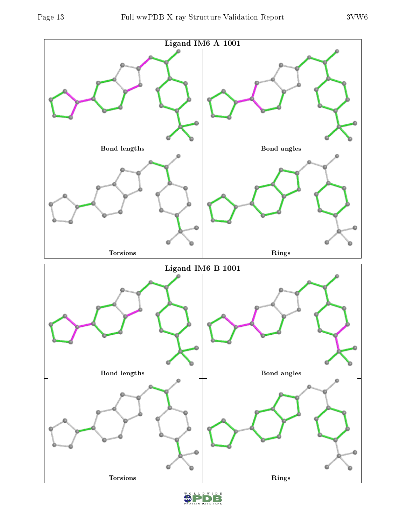

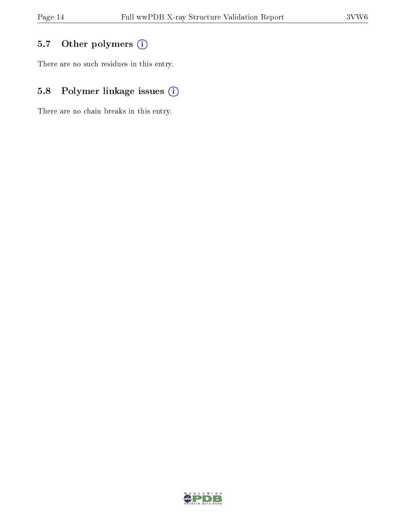## 5.7 [O](https://www.wwpdb.org/validation/2017/XrayValidationReportHelp#nonstandard_residues_and_ligands)ther polymers (i)

There are no such residues in this entry.

## 5.8 Polymer linkage issues (i)

There are no chain breaks in this entry.

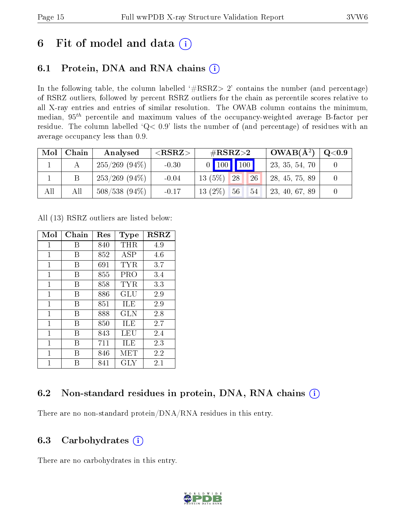## 6 Fit of model and data  $(i)$

### 6.1 Protein, DNA and RNA chains  $(i)$

In the following table, the column labelled  $#RSRZ> 2'$  contains the number (and percentage) of RSRZ outliers, followed by percent RSRZ outliers for the chain as percentile scores relative to all X-ray entries and entries of similar resolution. The OWAB column contains the minimum, median,  $95<sup>th</sup>$  percentile and maximum values of the occupancy-weighted average B-factor per residue. The column labelled ' $Q< 0.9$ ' lists the number of (and percentage) of residues with an average occupancy less than 0.9.

| Mol | Chain | Analysed         | $<$ RSRZ $>$ | # $RSRZ>2$                                      | $OWAB(A^2)$    | $\rm Q\textcolor{black}{<}0.9$ |
|-----|-------|------------------|--------------|-------------------------------------------------|----------------|--------------------------------|
|     |       | $255/269$ (94\%) | $-0.30$      | $0$ 100 100                                     | 23, 35, 54, 70 |                                |
|     |       | $253/269$ (94\%) | $-0.04$      | $13(5\%)$<br><b>26</b><br>28                    | 28, 45, 75, 89 |                                |
| All | All   | $508/538(94\%)$  | $-0.17$      | $13(2\%)$<br>56 <sup>°</sup><br>54 <sup>°</sup> | 23, 40, 67, 89 |                                |

All (13) RSRZ outliers are listed below:

| Mol          | Chain | $\operatorname{Res}% \left( \mathcal{N}\right) \equiv\operatorname{Res}(\mathcal{N}_{0},\mathcal{N}_{0})$ | <b>Type</b> | <b>RSRZ</b> |  |
|--------------|-------|-----------------------------------------------------------------------------------------------------------|-------------|-------------|--|
| $\mathbf 1$  | В     | 840                                                                                                       | $\rm THR$   | 4.9         |  |
| 1            | В     | 852                                                                                                       | ASP         | 4.6         |  |
| $\mathbf{1}$ | В     | 691                                                                                                       | TYR         | 3.7         |  |
| 1            | В     | 855                                                                                                       | PRO         | 3.4         |  |
| 1            | В     | 858                                                                                                       | TYR.        | 3.3         |  |
| $\mathbf{1}$ | В     | 886                                                                                                       | GLU         | 2.9         |  |
| 1            | В     | 851                                                                                                       | ILE         | 2.9         |  |
| 1            | В     | 888                                                                                                       | <b>GLN</b>  | 2.8         |  |
| $\mathbf{1}$ | В     | 850                                                                                                       | ILE         | 2.7         |  |
| 1            | В     | 843                                                                                                       | LEU         | 2.4         |  |
| $\mathbf{1}$ | В     | 711                                                                                                       | ILE         | 2.3         |  |
| 1            | В     | 846                                                                                                       | MET         | 2.2         |  |
| 1            | R     | 841                                                                                                       | <b>GLY</b>  | 2.1         |  |

### 6.2 Non-standard residues in protein, DNA, RNA chains (i)

There are no non-standard protein/DNA/RNA residues in this entry.

### 6.3 Carbohydrates (i)

There are no carbohydrates in this entry.

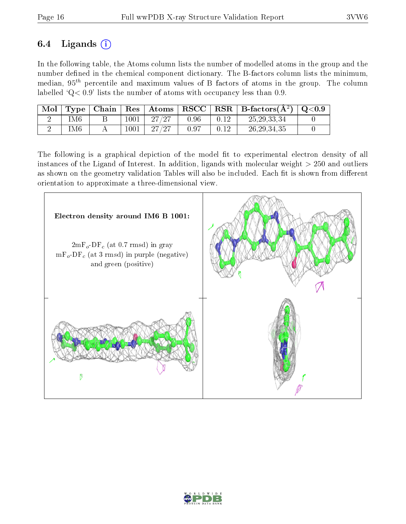### 6.4 Ligands  $(i)$

In the following table, the Atoms column lists the number of modelled atoms in the group and the number defined in the chemical component dictionary. The B-factors column lists the minimum, median,  $95<sup>th</sup>$  percentile and maximum values of B factors of atoms in the group. The column labelled ' $Q< 0.9$ ' lists the number of atoms with occupancy less than 0.9.

| Mol | Type | $\perp$ Chain $\perp$ |      | $\parallel$ Res $\parallel$ Atoms | $ $ RSCC $ $ | $\mid$ RSR $\mid$ B-factors( $A^2$ ) $\mid$ Q<0.9 |  |
|-----|------|-----------------------|------|-----------------------------------|--------------|---------------------------------------------------|--|
|     | IM6  |                       | 1001 | 27/27                             | 0.96         | 25, 29, 33, 34                                    |  |
|     | IM6  |                       | 1001 | $-27/27$                          | 0.97         | 26, 29, 34, 35                                    |  |

The following is a graphical depiction of the model fit to experimental electron density of all instances of the Ligand of Interest. In addition, ligands with molecular weight  $> 250$  and outliers as shown on the geometry validation Tables will also be included. Each fit is shown from different orientation to approximate a three-dimensional view.